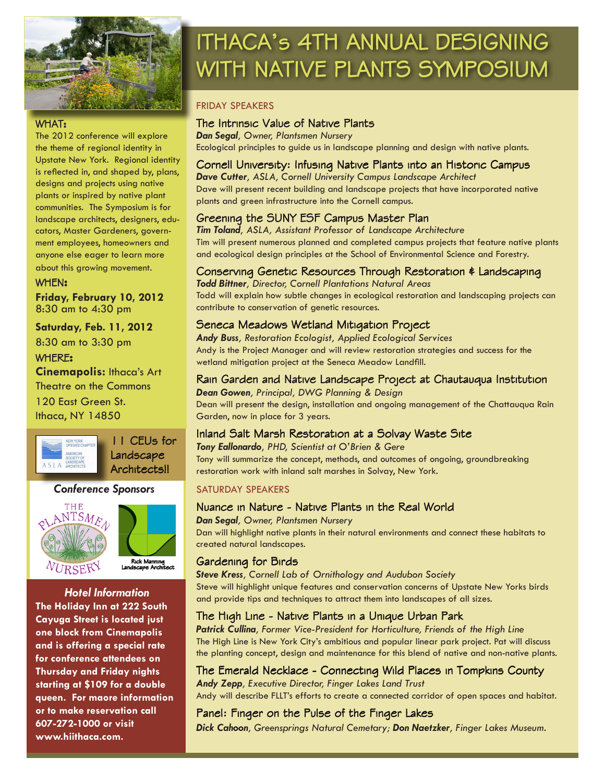

# ITHACA's 4TH ANNUAL DESIGNING WITH NATIVE PLANTS SYMPOSIUM

#### FRIDAY SPEAKERS

#### WHAT:

The 2012 conference will explore the theme of regional identity in Upstate New York. Regional identity is reflected in, and shaped by, plans, designs and projects using native plants or inspired by native plant communities. The Symposium is for landscape architects, designers, educators, Master Gardeners, government employees, homeowners and anyone else eager to learn more about this growing movement.

#### WHEN**:**

**Friday, February 10, 2012** 8:30 am to 4:30 pm

#### **Saturday, Feb. 11, 2012**

8:30 am to 3:30 pm

#### WHERE**:**

**Cinemapolis:** Ithaca's Art Theatre on the Commons 120 East Green St. Ithaca, NY 14850

NEW YORK<br>UPSTATE CH AMERICAN<br>SOCIETY ON LANDSCAP<br>A S L A ARCHITECT

11 CEUs for Landscape Architects!!

#### *Conference Sponsors*





#### *Hotel Information*

**The Holiday Inn at 222 South Cayuga Street is located just one block from Cinemapolis and is offering a special rate for conference attendees on Thursday and Friday nights starting at \$109 for a double queen. For maore information or to make reservation call 607-272-1000 or visit www.hiithaca.com.** 

#### The Intrinsic Value of Native Plants

*Dan Segal, Owner, Plantsmen Nursery* Ecological principles to guide us in landscape planning and design with native plants.

### Cornell University: Infusing Native Plants into an Historic Campus

*Dave Cutter, ASLA, Cornell University Campus Landscape Architect* Dave will present recent building and landscape projects that have incorporated native plants and green infrastructure into the Cornell campus.

#### Greening the SUNY ESF Campus Master Plan

*Tim Toland, ASLA, Assistant Professor of Landscape Architecture* Tim will present numerous planned and completed campus projects that feature native plants and ecological design principles at the School of Environmental Science and Forestry.

#### Conserving Genetic Resources Through Restoration & Landscaping

*Todd Bittner, Director, Cornell Plantations Natural Areas* Todd will explain how subtle changes in ecological restoration and landscaping projects can contribute to conservation of genetic resources.

#### Seneca Meadows Wetland Mitigation Project

*Andy Buss, Restoration Ecologist, Applied Ecological Services* Andy is the Project Manager and will review restoration strategies and success for the wetland mitigation project at the Seneca Meadow Landfill.

#### Rain Garden and Native Landscape Project at Chautauqua Institution

*Dean Gowen, Principal, DWG Planning & Design* Dean will present the design, installation and ongoing management of the Chattauqua Rain Garden, now in place for 3 years.

#### Inland Salt Marsh Restoration at a Solvay Waste Site

*Tony Eallonardo, PHD, Scientist at O'Brien & Gere*  Tony will summarize the concept, methods, and outcomes of ongoing, groundbreaking restoration work with inland salt marshes in Solvay, New York.

#### SATURDAY SPEAKERS

#### Nuance in Nature - Native Plants in the Real World

*Dan Segal, Owner, Plantsmen Nursery*

Dan will highlight native plants in their natural environments and connect these habitats to created natural landscapes.

#### Gardening for Birds

*Steve Kress, Cornell Lab of Ornithology and Audubon Society* Steve will highlight unique features and conservation concerns of Upstate New Yorks birds and provide tips and techniques to attract them into landscapes of all sizes.

#### The High Line - Native Plants in a Unique Urban Park

*Patrick Cullina, Former Vice-President for Horticulture, Friends of the High Line* The High Line is New York City's ambitious and popular linear park project. Pat will discuss the planting concept, design and maintenance for this blend of native and non-native plants.

## The Emerald Necklace - Connecting Wild Places in Tompkins County

*Andy Zepp, Executive Director, Finger Lakes Land Trust* Andy will describe FLLT's efforts to create a connected corridor of open spaces and habitat.

#### Panel: Finger on the Pulse of the Finger Lakes

*Dick Cahoon, Greensprings Natural Cemetary; Don Naetzker, Finger Lakes Museum.*